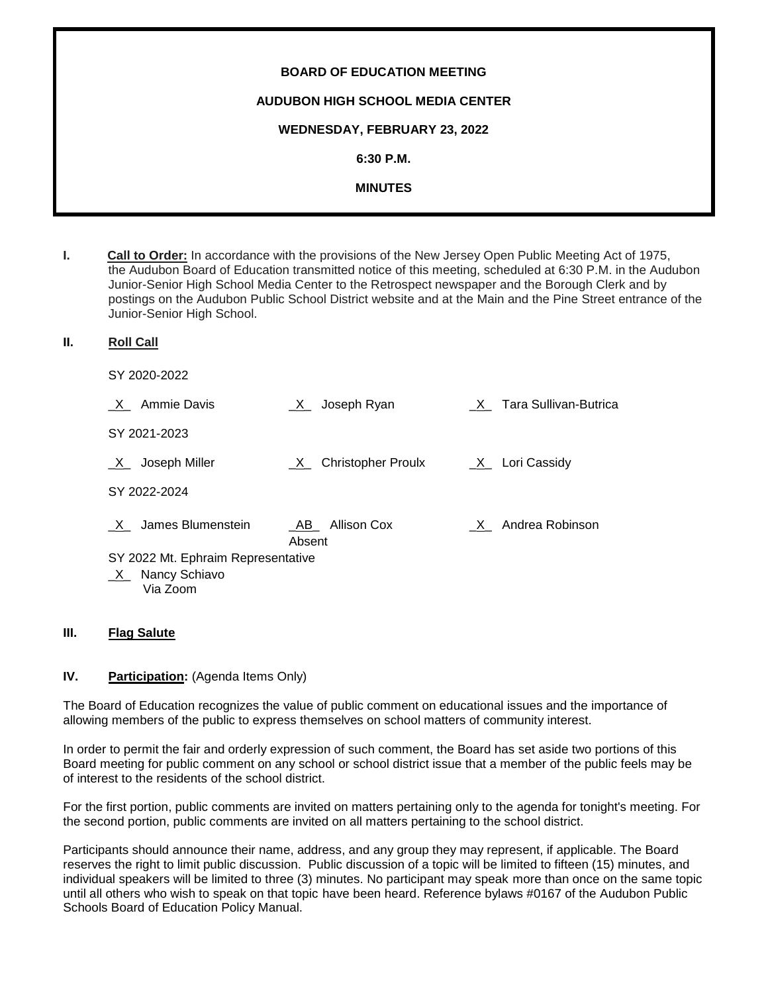| <b>BOARD OF EDUCATION MEETING</b>       |
|-----------------------------------------|
| <b>AUDUBON HIGH SCHOOL MEDIA CENTER</b> |
| WEDNESDAY, FEBRUARY 23, 2022            |
| 6:30 P.M.                               |
| <b>MINUTES</b>                          |
|                                         |

- **I. Call to Order:** In accordance with the provisions of the New Jersey Open Public Meeting Act of 1975, the Audubon Board of Education transmitted notice of this meeting, scheduled at 6:30 P.M. in the Audubon Junior-Senior High School Media Center to the Retrospect newspaper and the Borough Clerk and by postings on the Audubon Public School District website and at the Main and the Pine Street entrance of the Junior-Senior High School.
- **II. Roll Call**

SY 2020-2022

| Ammie Davis                        | Joseph Ryan<br>$X_{-}$             | X Tara Sullivan-Butrica |
|------------------------------------|------------------------------------|-------------------------|
| SY 2021-2023                       |                                    |                         |
| Joseph Miller<br>X.                | Christopher Proulx<br>X            | $X_$ Lori Cassidy       |
| SY 2022-2024                       |                                    |                         |
| James Blumenstein                  | <b>Allison Cox</b><br>AB<br>Absent | X Andrea Robinson       |
| SY 2022 Mt. Ephraim Representative |                                    |                         |
| $X$ Nancy Schiavo<br>Via Zoom      |                                    |                         |

#### **III. Flag Salute**

# **IV. Participation:** (Agenda Items Only)

The Board of Education recognizes the value of public comment on educational issues and the importance of allowing members of the public to express themselves on school matters of community interest.

In order to permit the fair and orderly expression of such comment, the Board has set aside two portions of this Board meeting for public comment on any school or school district issue that a member of the public feels may be of interest to the residents of the school district.

For the first portion, public comments are invited on matters pertaining only to the agenda for tonight's meeting. For the second portion, public comments are invited on all matters pertaining to the school district.

Participants should announce their name, address, and any group they may represent, if applicable. The Board reserves the right to limit public discussion. Public discussion of a topic will be limited to fifteen (15) minutes, and individual speakers will be limited to three (3) minutes. No participant may speak more than once on the same topic until all others who wish to speak on that topic have been heard. Reference bylaws #0167 of the Audubon Public Schools Board of Education Policy Manual.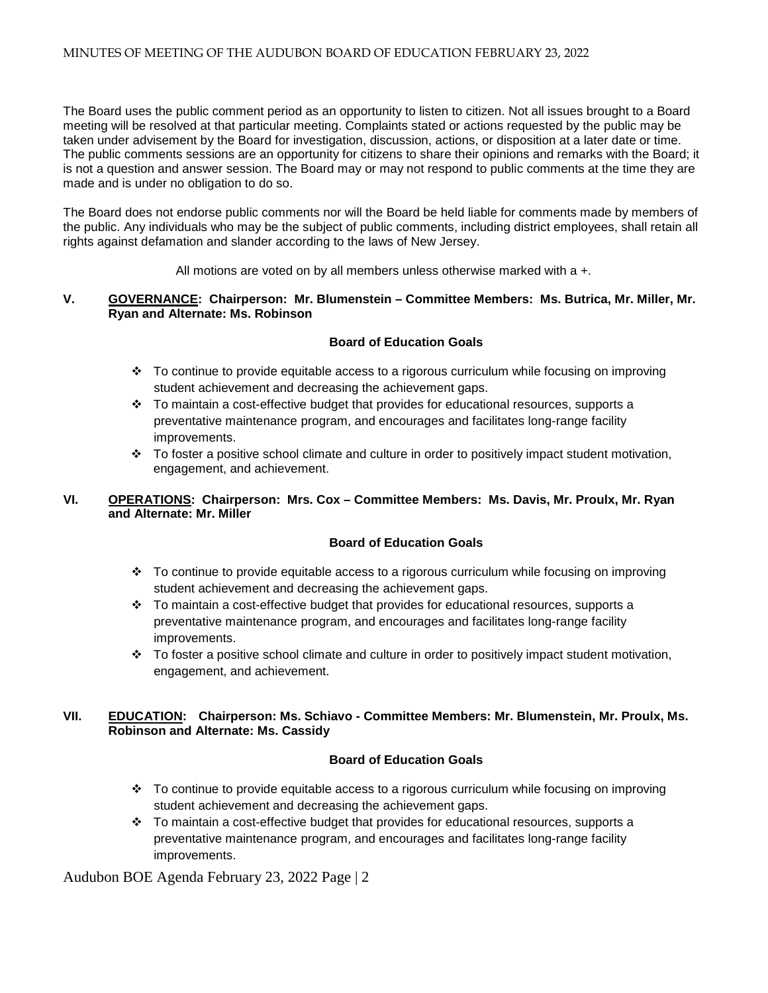The Board uses the public comment period as an opportunity to listen to citizen. Not all issues brought to a Board meeting will be resolved at that particular meeting. Complaints stated or actions requested by the public may be taken under advisement by the Board for investigation, discussion, actions, or disposition at a later date or time. The public comments sessions are an opportunity for citizens to share their opinions and remarks with the Board; it is not a question and answer session. The Board may or may not respond to public comments at the time they are made and is under no obligation to do so.

The Board does not endorse public comments nor will the Board be held liable for comments made by members of the public. Any individuals who may be the subject of public comments, including district employees, shall retain all rights against defamation and slander according to the laws of New Jersey.

All motions are voted on by all members unless otherwise marked with a +.

#### **V. GOVERNANCE: Chairperson: Mr. Blumenstein – Committee Members: Ms. Butrica, Mr. Miller, Mr. Ryan and Alternate: Ms. Robinson**

# **Board of Education Goals**

- To continue to provide equitable access to a rigorous curriculum while focusing on improving student achievement and decreasing the achievement gaps.
- $\div$  To maintain a cost-effective budget that provides for educational resources, supports a preventative maintenance program, and encourages and facilitates long-range facility improvements.
- \* To foster a positive school climate and culture in order to positively impact student motivation, engagement, and achievement.

# **VI. OPERATIONS: Chairperson: Mrs. Cox – Committee Members: Ms. Davis, Mr. Proulx, Mr. Ryan and Alternate: Mr. Miller**

# **Board of Education Goals**

- $\div$  To continue to provide equitable access to a rigorous curriculum while focusing on improving student achievement and decreasing the achievement gaps.
- $\div$  To maintain a cost-effective budget that provides for educational resources, supports a preventative maintenance program, and encourages and facilitates long-range facility improvements.
- $\div$  To foster a positive school climate and culture in order to positively impact student motivation, engagement, and achievement.

# **VII. EDUCATION: Chairperson: Ms. Schiavo - Committee Members: Mr. Blumenstein, Mr. Proulx, Ms. Robinson and Alternate: Ms. Cassidy**

# **Board of Education Goals**

- $\div$  To continue to provide equitable access to a rigorous curriculum while focusing on improving student achievement and decreasing the achievement gaps.
- $\div$  To maintain a cost-effective budget that provides for educational resources, supports a preventative maintenance program, and encourages and facilitates long-range facility improvements.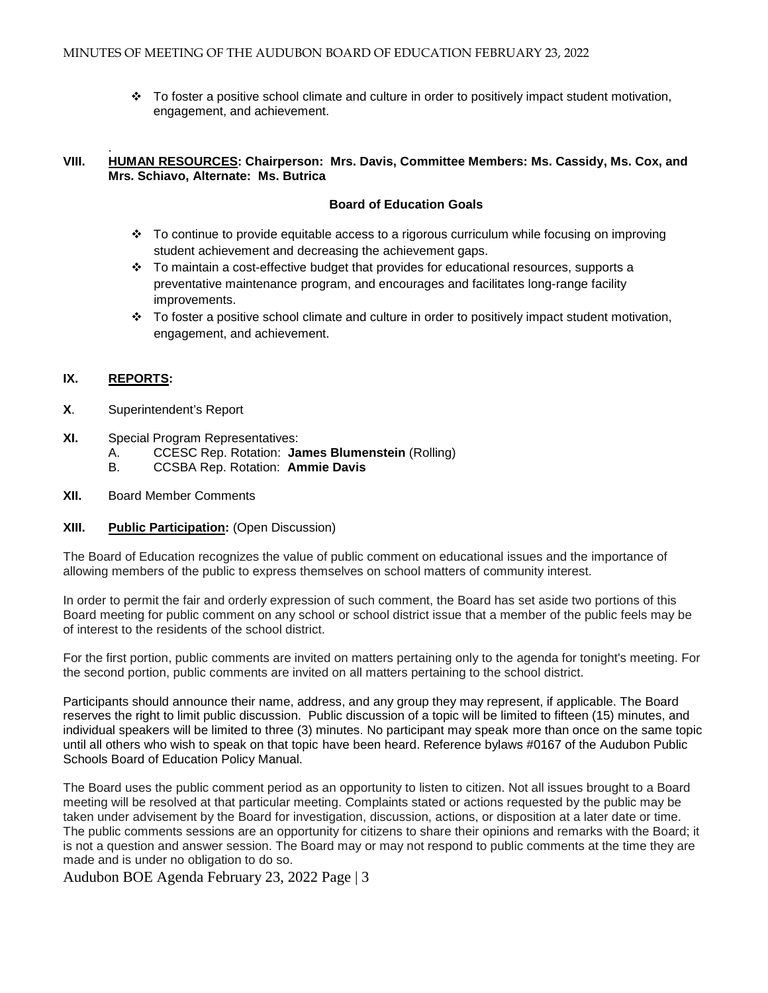\* To foster a positive school climate and culture in order to positively impact student motivation, engagement, and achievement.

#### . **VIII. HUMAN RESOURCES: Chairperson: Mrs. Davis, Committee Members: Ms. Cassidy, Ms. Cox, and Mrs. Schiavo, Alternate: Ms. Butrica**

#### **Board of Education Goals**

- To continue to provide equitable access to a rigorous curriculum while focusing on improving student achievement and decreasing the achievement gaps.
- $\div$  To maintain a cost-effective budget that provides for educational resources, supports a preventative maintenance program, and encourages and facilitates long-range facility improvements.
- $\div$  To foster a positive school climate and culture in order to positively impact student motivation, engagement, and achievement.

#### **IX. REPORTS:**

- **X**. Superintendent's Report
- **XI.** Special Program Representatives:
	- A. CCESC Rep. Rotation: **James Blumenstein** (Rolling)
	- B. CCSBA Rep. Rotation: **Ammie Davis**
- **XII.** Board Member Comments
- **XIII. Public Participation:** (Open Discussion)

The Board of Education recognizes the value of public comment on educational issues and the importance of allowing members of the public to express themselves on school matters of community interest.

In order to permit the fair and orderly expression of such comment, the Board has set aside two portions of this Board meeting for public comment on any school or school district issue that a member of the public feels may be of interest to the residents of the school district.

For the first portion, public comments are invited on matters pertaining only to the agenda for tonight's meeting. For the second portion, public comments are invited on all matters pertaining to the school district.

Participants should announce their name, address, and any group they may represent, if applicable. The Board reserves the right to limit public discussion. Public discussion of a topic will be limited to fifteen (15) minutes, and individual speakers will be limited to three (3) minutes. No participant may speak more than once on the same topic until all others who wish to speak on that topic have been heard. Reference bylaws #0167 of the Audubon Public Schools Board of Education Policy Manual.

The Board uses the public comment period as an opportunity to listen to citizen. Not all issues brought to a Board meeting will be resolved at that particular meeting. Complaints stated or actions requested by the public may be taken under advisement by the Board for investigation, discussion, actions, or disposition at a later date or time. The public comments sessions are an opportunity for citizens to share their opinions and remarks with the Board; it is not a question and answer session. The Board may or may not respond to public comments at the time they are made and is under no obligation to do so.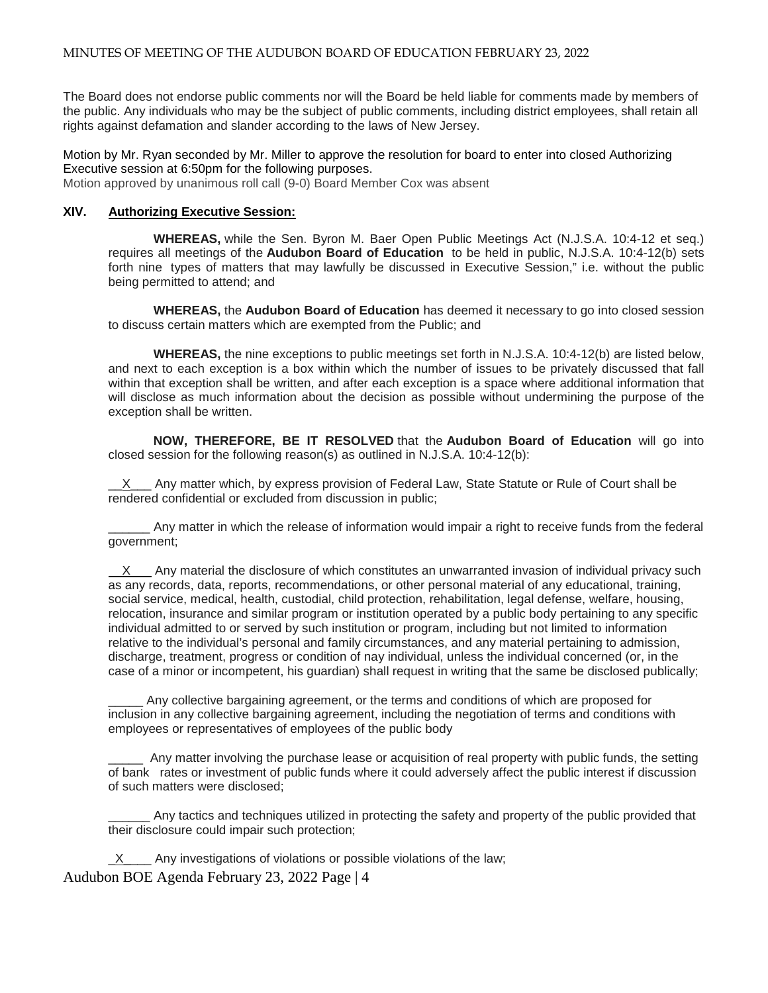The Board does not endorse public comments nor will the Board be held liable for comments made by members of the public. Any individuals who may be the subject of public comments, including district employees, shall retain all rights against defamation and slander according to the laws of New Jersey.

#### Motion by Mr. Ryan seconded by Mr. Miller to approve the resolution for board to enter into closed Authorizing Executive session at 6:50pm for the following purposes.

Motion approved by unanimous roll call (9-0) Board Member Cox was absent

#### **XIV. Authorizing Executive Session:**

**WHEREAS,** while the Sen. Byron M. Baer Open Public Meetings Act (N.J.S.A. 10:4-12 et seq.) requires all meetings of the **Audubon Board of Education** to be held in public, N.J.S.A. 10:4-12(b) sets forth nine types of matters that may lawfully be discussed in Executive Session," i.e. without the public being permitted to attend; and

**WHEREAS,** the **Audubon Board of Education** has deemed it necessary to go into closed session to discuss certain matters which are exempted from the Public; and

**WHEREAS,** the nine exceptions to public meetings set forth in N.J.S.A. 10:4-12(b) are listed below, and next to each exception is a box within which the number of issues to be privately discussed that fall within that exception shall be written, and after each exception is a space where additional information that will disclose as much information about the decision as possible without undermining the purpose of the exception shall be written.

**NOW, THEREFORE, BE IT RESOLVED** that the **Audubon Board of Education** will go into closed session for the following reason(s) as outlined in N.J.S.A. 10:4-12(b):

 $X$  Any matter which, by express provision of Federal Law, State Statute or Rule of Court shall be rendered confidential or excluded from discussion in public;

\_\_\_\_\_\_ Any matter in which the release of information would impair a right to receive funds from the federal government;

X Any material the disclosure of which constitutes an unwarranted invasion of individual privacy such as any records, data, reports, recommendations, or other personal material of any educational, training, social service, medical, health, custodial, child protection, rehabilitation, legal defense, welfare, housing, relocation, insurance and similar program or institution operated by a public body pertaining to any specific individual admitted to or served by such institution or program, including but not limited to information relative to the individual's personal and family circumstances, and any material pertaining to admission, discharge, treatment, progress or condition of nay individual, unless the individual concerned (or, in the case of a minor or incompetent, his guardian) shall request in writing that the same be disclosed publically;

Any collective bargaining agreement, or the terms and conditions of which are proposed for inclusion in any collective bargaining agreement, including the negotiation of terms and conditions with employees or representatives of employees of the public body

Any matter involving the purchase lease or acquisition of real property with public funds, the setting of bank rates or investment of public funds where it could adversely affect the public interest if discussion of such matters were disclosed;

Any tactics and techniques utilized in protecting the safety and property of the public provided that their disclosure could impair such protection;

Audubon BOE Agenda February 23, 2022 Page | 4 X Any investigations of violations or possible violations of the law;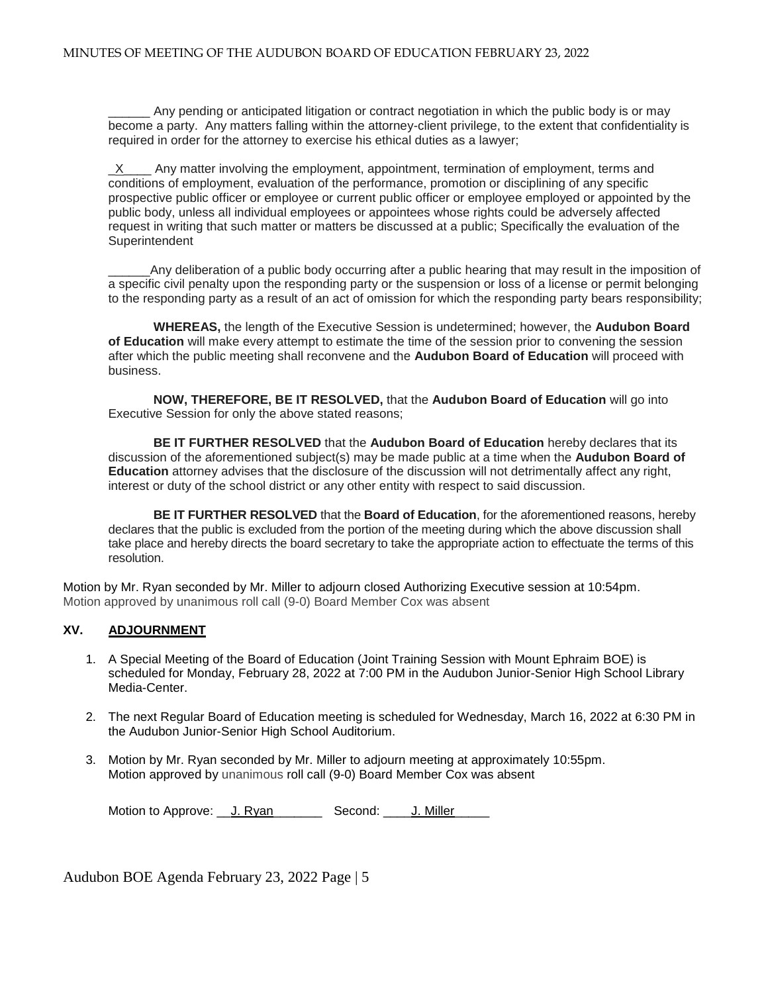Any pending or anticipated litigation or contract negotiation in which the public body is or may become a party. Any matters falling within the attorney-client privilege, to the extent that confidentiality is required in order for the attorney to exercise his ethical duties as a lawyer;

 $X$  Any matter involving the employment, appointment, termination of employment, terms and conditions of employment, evaluation of the performance, promotion or disciplining of any specific prospective public officer or employee or current public officer or employee employed or appointed by the public body, unless all individual employees or appointees whose rights could be adversely affected request in writing that such matter or matters be discussed at a public; Specifically the evaluation of the **Superintendent** 

Any deliberation of a public body occurring after a public hearing that may result in the imposition of a specific civil penalty upon the responding party or the suspension or loss of a license or permit belonging to the responding party as a result of an act of omission for which the responding party bears responsibility;

**WHEREAS,** the length of the Executive Session is undetermined; however, the **Audubon Board of Education** will make every attempt to estimate the time of the session prior to convening the session after which the public meeting shall reconvene and the **Audubon Board of Education** will proceed with business.

**NOW, THEREFORE, BE IT RESOLVED,** that the **Audubon Board of Education** will go into Executive Session for only the above stated reasons;

**BE IT FURTHER RESOLVED** that the **Audubon Board of Education** hereby declares that its discussion of the aforementioned subject(s) may be made public at a time when the **Audubon Board of Education** attorney advises that the disclosure of the discussion will not detrimentally affect any right, interest or duty of the school district or any other entity with respect to said discussion.

**BE IT FURTHER RESOLVED** that the **Board of Education**, for the aforementioned reasons, hereby declares that the public is excluded from the portion of the meeting during which the above discussion shall take place and hereby directs the board secretary to take the appropriate action to effectuate the terms of this resolution.

Motion by Mr. Ryan seconded by Mr. Miller to adjourn closed Authorizing Executive session at 10:54pm. Motion approved by unanimous roll call (9-0) Board Member Cox was absent

# **XV. ADJOURNMENT**

- 1. A Special Meeting of the Board of Education (Joint Training Session with Mount Ephraim BOE) is scheduled for Monday, February 28, 2022 at 7:00 PM in the Audubon Junior-Senior High School Library Media-Center.
- 2. The next Regular Board of Education meeting is scheduled for Wednesday, March 16, 2022 at 6:30 PM in the Audubon Junior-Senior High School Auditorium.
- 3. Motion by Mr. Ryan seconded by Mr. Miller to adjourn meeting at approximately 10:55pm. Motion approved by unanimous roll call (9-0) Board Member Cox was absent

Motion to Approve: J. Ryan Second: J. Miller